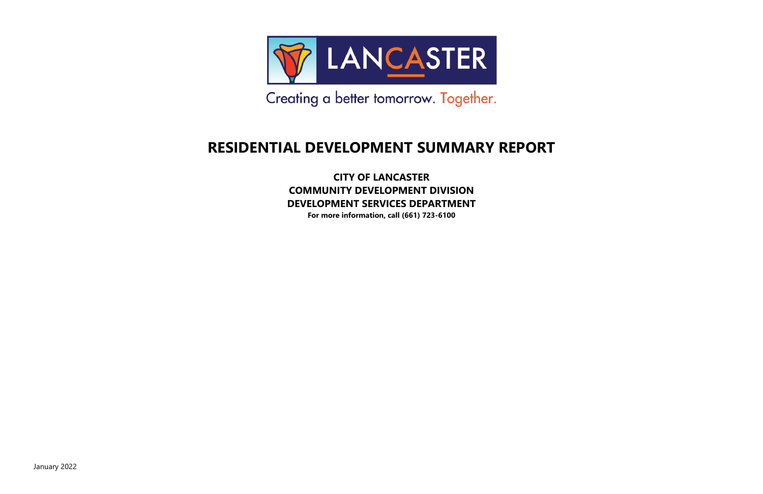

Creating a better tomorrow. Together.

#### **RESIDENTIAL DEVELOPMENT SUMMARY REPORT**

**CITY OF LANCASTER COMMUNITY DEVELOPMENT DIVISION DEVELOPMENT SERVICES DEPARTMENT**

**For more information, call (661) 723-6100**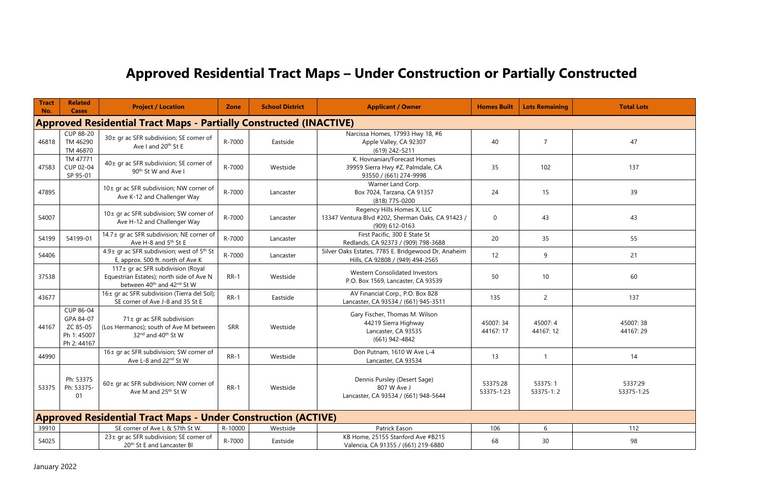### **Approved Residential Tract Maps – Under Construction or Partially Constructed**

| <b>Tract</b><br>No. | <b>Related</b><br><b>Cases</b>                                            | <b>Project / Location</b>                                                                                                           | <b>Zone</b> | <b>School District</b> | <b>Applicant / Owner</b>                                                                          | <b>Homes Built</b>     | <b>Lots Remaining</b> | <b>Total Lots</b>     |  |  |  |
|---------------------|---------------------------------------------------------------------------|-------------------------------------------------------------------------------------------------------------------------------------|-------------|------------------------|---------------------------------------------------------------------------------------------------|------------------------|-----------------------|-----------------------|--|--|--|
|                     | <b>Approved Residential Tract Maps - Partially Constructed (INACTIVE)</b> |                                                                                                                                     |             |                        |                                                                                                   |                        |                       |                       |  |  |  |
| 46818               | <b>CUP 88-20</b><br>TM 46290<br>TM 46870                                  | 30± gr ac SFR subdivision; SE corner of<br>Ave I and 20 <sup>th</sup> St E                                                          | R-7000      | Eastside               | Narcissa Homes, 17993 Hwy 18, #6<br>Apple Valley, CA 92307<br>(619) 242-5211                      | 40                     | $\overline{7}$        | 47                    |  |  |  |
| 47583               | TM 47771<br>CUP 02-04<br>SP 95-01                                         | 40± gr ac SFR subdivision; SE corner of<br>90 <sup>th</sup> St W and Ave I                                                          | R-7000      | Westside               | K. Hovnanian/Forecast Homes<br>39959 Sierra Hwy #Z, Palmdale, CA<br>93550 / (661) 274-9998        | 35                     | 102                   | 137                   |  |  |  |
| 47895               |                                                                           | 10± gr ac SFR subdivision; NW corner of<br>Ave K-12 and Challenger Way                                                              | R-7000      | Lancaster              | Warner Land Corp.<br>Box 7024, Tarzana, CA 91357<br>(818) 775-0200                                | 24                     | 15                    | 39                    |  |  |  |
| 54007               |                                                                           | 10± gr ac SFR subdivision; SW corner of<br>Ave H-12 and Challenger Way                                                              | R-7000      | Lancaster              | Regency Hills Homes X, LLC<br>13347 Ventura Blvd #202, Sherman Oaks, CA 91423 /<br>(909) 612-0163 | $\mathbf 0$            | 43                    | 43                    |  |  |  |
| 54199               | 54199-01                                                                  | 14.7± gr ac SFR subdivision; NE corner of<br>Ave H-8 and 5 <sup>th</sup> St E                                                       | R-7000      | Lancaster              | First Pacific, 300 E State St<br>Redlands, CA 92373 / (909) 798-3688                              | 20                     | 35                    | 55                    |  |  |  |
| 54406               |                                                                           | 4.9± gr ac SFR subdivision; west of 5 <sup>th</sup> St<br>E, approx. 500 ft. north of Ave K                                         | R-7000      | Lancaster              | Silver Oaks Estates, 7785 E. Bridgewood Dr, Anaheim<br>Hills, CA 92808 / (949) 494-2565           | 12                     | 9                     | 21                    |  |  |  |
| 37538               |                                                                           | 117± gr ac SFR subdivision (Royal<br>Equestrian Estates); north side of Ave N<br>between 40 <sup>th</sup> and 42 <sup>nd</sup> St W | $RR-1$      | Westside               | Western Consolidated Investors<br>P.O. Box 1569, Lancaster, CA 93539                              | 50                     | 10                    | 60                    |  |  |  |
| 43677               |                                                                           | 16± gr ac SFR subdivision (Tierra del Sol);<br>SE corner of Ave J-8 and 35 St E                                                     | $RR-1$      | Eastside               | AV Financial Corp., P.O. Box 828<br>Lancaster, CA 93534 / (661) 945-3511                          | 135                    | $2^{\circ}$           | 137                   |  |  |  |
| 44167               | CUP 86-04<br>GPA 84-07<br>ZC 85-05<br>Ph 1: 45007<br>Ph 2: 44167          | 71± gr ac SFR subdivision<br>(Los Hermanos); south of Ave M between<br>32 <sup>nd</sup> and 40 <sup>th</sup> St W                   | <b>SRR</b>  | Westside               | Gary Fischer, Thomas M. Wilson<br>44219 Sierra Highway<br>Lancaster, CA 93535<br>(661) 942-4842   | 45007:34<br>44167:17   | 45007:4<br>44167:12   | 45007:38<br>44167:29  |  |  |  |
| 44990               |                                                                           | 16± gr ac SFR subdivision; SW corner of<br>Ave L-8 and 22nd St W                                                                    | $RR-1$      | Westside               | Don Putnam, 1610 W Ave L-4<br>Lancaster, CA 93534                                                 | 13                     |                       | 14                    |  |  |  |
| 53375               | Ph: 53375<br>Ph: 53375-<br>01                                             | 60± gr ac SFR subdivision; NW corner of<br>Ave M and 25 <sup>th</sup> St W                                                          | $RR-1$      | Westside               | Dennis Pursley (Desert Sage)<br>807 W Ave J<br>Lancaster, CA 93534 / (661) 948-5644               | 53375:28<br>53375-1:23 | 53375:1<br>53375-1:2  | 5337:29<br>53375-1:25 |  |  |  |
|                     |                                                                           | <b>Approved Residential Tract Maps - Under Construction (ACTIVE)</b>                                                                |             |                        |                                                                                                   |                        |                       |                       |  |  |  |
| 39910               |                                                                           | SE corner of Ave L & 57th St W.                                                                                                     | R-10000     | Westside               | Patrick Eason                                                                                     | 106                    | 6                     | 112                   |  |  |  |
| 54025               |                                                                           | 23± gr ac SFR subdivision; SE corner of<br>20 <sup>th</sup> St E and Lancaster BI                                                   | R-7000      | Eastside               | KB Home, 25155 Stanford Ave #B215<br>Valencia, CA 91355 / (661) 219-6880                          | 68                     | 30                    | 98                    |  |  |  |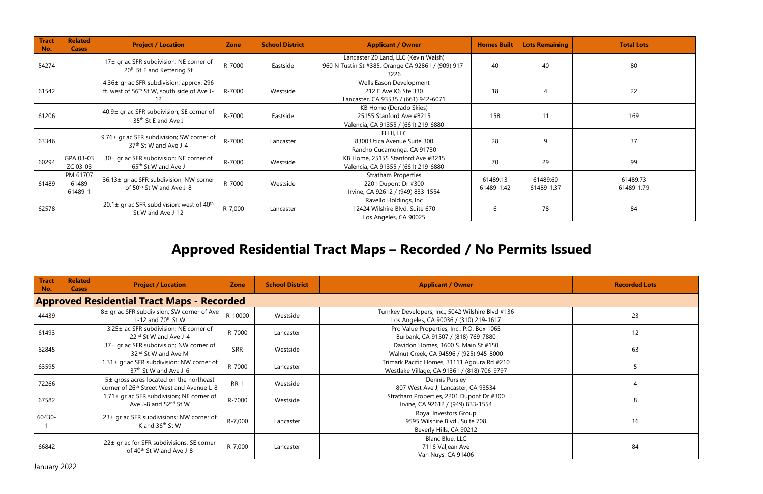| <b>Tract</b><br>No. | <b>Related</b><br><b>Cases</b> | <b>Project / Location</b>                                                                           | <b>Zone</b> | <b>School District</b> | <b>Applicant / Owner</b>                                                                           | <b>Homes Built</b>     | <b>Lots Remaining</b>  | <b>Total Lots</b>      |
|---------------------|--------------------------------|-----------------------------------------------------------------------------------------------------|-------------|------------------------|----------------------------------------------------------------------------------------------------|------------------------|------------------------|------------------------|
| 54274               |                                | 17± gr ac SFR subdivision; NE corner of<br>20 <sup>th</sup> St E and Kettering St                   | R-7000      | Eastside               | Lancaster 20 Land, LLC (Kevin Walsh)<br>960 N Tustin St #385, Orange CA 92861 / (909) 917-<br>3226 | 40                     | 40                     | 80                     |
| 61542               |                                | 4.36± gr ac SFR subdivision; approx. 296<br>ft. west of 56 <sup>th</sup> St W, south side of Ave J- | R-7000      | Westside               | Wells Eason Development<br>212 E Ave K6 Ste 330<br>Lancaster, CA 93535 / (661) 942-6071            | 18                     | $\overline{4}$         | 22                     |
| 61206               |                                | 40.9± gr ac SFR subdivision; SE corner of<br>35 <sup>th</sup> St E and Ave J                        | R-7000      | Eastside               | KB Home (Dorado Skies)<br>25155 Stanford Ave #B215<br>Valencia, CA 91355 / (661) 219-6880          | 158                    | 11                     | 169                    |
| 63346               |                                | 9.76± gr ac SFR subdivision; SW corner of<br>37 <sup>th</sup> St W and Ave J-4                      | R-7000      | Lancaster              | FH II, LLC<br>8300 Utica Avenue Suite 300<br>Rancho Cucamonga, CA 91730                            | 28                     | 9                      | 37                     |
| 60294               | GPA 03-03<br>ZC 03-03          | 30± gr ac SFR subdivision; NE corner of<br>65 <sup>th</sup> St W and Ave J                          | R-7000      | Westside               | KB Home, 25155 Stanford Ave #B215<br>Valencia, CA 91355 / (661) 219-6880                           | 70                     | 29                     | 99                     |
| 61489               | PM 61707<br>61489<br>61489-1   | 36.13± gr ac SFR subdivision; NW corner<br>of 50 <sup>th</sup> St W and Ave J-8                     | R-7000      | Westside               | <b>Stratham Properties</b><br>2201 Dupont Dr #300<br>Irvine, CA 92612 / (949) 833-1554             | 61489:13<br>61489-1:42 | 61489:60<br>61489-1:37 | 61489:73<br>61489-1:79 |
| 62578               |                                | 20.1 $\pm$ gr ac SFR subdivision; west of 40 <sup>th</sup><br>St W and Ave J-12                     | R-7,000     | Lancaster              | Ravello Holdings, Inc<br>12424 Wilshire Blvd. Suite 670<br>Los Angeles, CA 90025                   | 6                      | 78                     | 84                     |

#### **Approved Residential Tract Maps – Recorded / No Permits Issued**

| <b>Tract</b><br>No. | <b>Related</b><br><b>Cases</b>                    | <b>Project / Location</b>                                                                        | Zone       | <b>School District</b> | <b>Applicant / Owner</b>                                                                    | <b>Recorded Lots</b> |  |  |  |  |  |
|---------------------|---------------------------------------------------|--------------------------------------------------------------------------------------------------|------------|------------------------|---------------------------------------------------------------------------------------------|----------------------|--|--|--|--|--|
|                     | <b>Approved Residential Tract Maps - Recorded</b> |                                                                                                  |            |                        |                                                                                             |                      |  |  |  |  |  |
| 44439               |                                                   | 8± gr ac SFR subdivision; SW corner of Ave<br>L-12 and $70th$ St W                               | R-10000    | Westside               | Turnkey Developers, Inc., 5042 Wilshire Blvd #136<br>Los Angeles, CA 90036 / (310) 219-1617 | 23                   |  |  |  |  |  |
| 61493               |                                                   | 3.25± ac SFR subdivision; NE corner of<br>22 <sup>nd</sup> St W and Ave J-4                      | R-7000     | Lancaster              | Pro Value Properties, Inc., P.O. Box 1065<br>Burbank, CA 91507 / (818) 769-7880             | 12                   |  |  |  |  |  |
| 62845               |                                                   | 37± gr ac SFR subdivision; NW corner of<br>32 <sup>nd</sup> St W and Ave M                       | <b>SRR</b> | Westside               | Davidon Homes, 1600 S. Main St #150<br>Walnut Creek, CA 94596 / (925) 945-8000              | 63                   |  |  |  |  |  |
| 63595               |                                                   | 1.31± gr ac SFR subdivision; NW corner of<br>37 <sup>th</sup> St W and Ave J-6                   | R-7000     | Lancaster              | Trimark Pacific Homes, 31111 Agoura Rd #210<br>Westlake Village, CA 91361 / (818) 706-9797  |                      |  |  |  |  |  |
| 72266               |                                                   | 5± gross acres located on the northeast<br>corner of 26 <sup>th</sup> Street West and Avenue L-8 | $RR-1$     | Westside               | Dennis Pursley<br>807 West Ave J, Lancaster, CA 93534                                       |                      |  |  |  |  |  |
| 67582               |                                                   | 1.71 ± gr ac SFR subdivision; NE corner of<br>Ave J-8 and 52nd St W                              | R-7000     | Westside               | Stratham Properties, 2201 Dupont Dr #300<br>Irvine, CA 92612 / (949) 833-1554               | 8                    |  |  |  |  |  |
| 60430-              |                                                   | 23± gr ac SFR subdivisions; NW corner of<br>K and 36 <sup>th</sup> St W                          | R-7,000    | Lancaster              | Royal Investors Group<br>9595 Wilshire Blvd., Suite 708<br>Beverly Hills, CA 90212          | 16                   |  |  |  |  |  |
| 66842               |                                                   | 22± gr ac for SFR subdivisions, SE corner<br>of 40 <sup>th</sup> St W and Ave J-8                | R-7,000    | Lancaster              | Blanc Blue, LLC<br>7116 Valjean Ave<br>Van Nuys, CA 91406                                   | 84                   |  |  |  |  |  |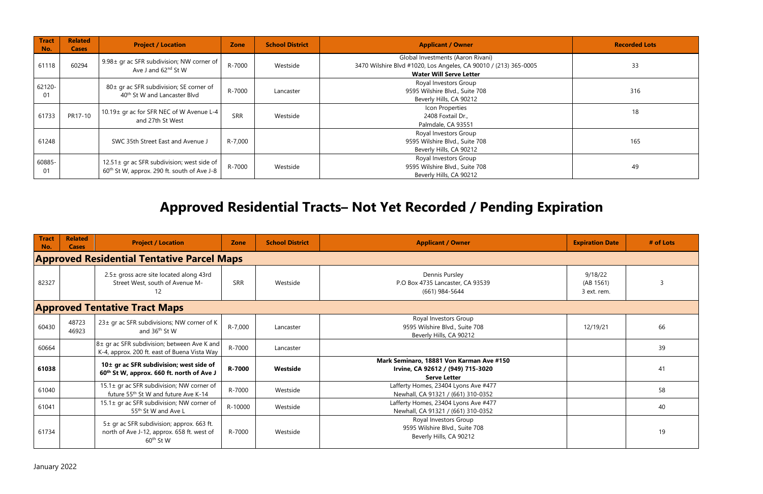| <b>Tract</b><br>No. | <b>Related</b><br><b>Cases</b> | <b>Project / Location</b>                                                                             | <b>Zone</b> | <b>School District</b> | <b>Applicant / Owner</b>                                                                                                                | <b>Recorded Lots</b> |
|---------------------|--------------------------------|-------------------------------------------------------------------------------------------------------|-------------|------------------------|-----------------------------------------------------------------------------------------------------------------------------------------|----------------------|
| 61118               | 60294                          | 9.98± gr ac SFR subdivision; NW corner of<br>Ave J and 62 <sup>nd</sup> St W                          | R-7000      | Westside               | Global Investments (Aaron Rivani)<br>3470 Wilshire Blvd #1020, Los Angeles, CA 90010 / (213) 365-0005<br><b>Water Will Serve Letter</b> | 33                   |
| 62120-<br>01        |                                | 80± gr ac SFR subdivision; SE corner of<br>40 <sup>th</sup> St W and Lancaster Blvd                   | R-7000      | Lancaster              | Royal Investors Group<br>9595 Wilshire Blvd., Suite 708<br>Beverly Hills, CA 90212                                                      | 316                  |
| 61733               | PR17-10                        | 10.19± gr ac for SFR NEC of W Avenue L-4<br>and 27th St West                                          | <b>SRR</b>  | Westside               | Icon Properties<br>2408 Foxtail Dr.,<br>Palmdale, CA 93551                                                                              | 18                   |
| 61248               |                                | SWC 35th Street East and Avenue J                                                                     | R-7,000     |                        | Royal Investors Group<br>9595 Wilshire Blvd., Suite 708<br>Beverly Hills, CA 90212                                                      | 165                  |
| 60885-<br>01        |                                | 12.51± gr ac SFR subdivision; west side of<br>60 <sup>th</sup> St W, approx. 290 ft. south of Ave J-8 | R-7000      | Westside               | Royal Investors Group<br>9595 Wilshire Blvd., Suite 708<br>Beverly Hills, CA 90212                                                      | 49                   |

# **Approved Residential Tracts– Not Yet Recorded / Pending Expiration**

| <b>Tract</b><br>No.                               | <b>Related</b><br><b>Cases</b>       | <b>Project / Location</b>                                                                                        | <b>Zone</b> | <b>School District</b> | <b>Expiration Date</b><br><b>Applicant / Owner</b>                                                          | # of Lots |  |  |  |  |
|---------------------------------------------------|--------------------------------------|------------------------------------------------------------------------------------------------------------------|-------------|------------------------|-------------------------------------------------------------------------------------------------------------|-----------|--|--|--|--|
| <b>Approved Residential Tentative Parcel Maps</b> |                                      |                                                                                                                  |             |                        |                                                                                                             |           |  |  |  |  |
| 82327                                             |                                      | 2.5± gross acre site located along 43rd<br>Street West, south of Avenue M-<br>12                                 | <b>SRR</b>  | Westside               | Dennis Pursley<br>9/18/22<br>P.O Box 4735 Lancaster, CA 93539<br>(AB 1561)<br>(661) 984-5644<br>3 ext. rem. | 3         |  |  |  |  |
|                                                   | <b>Approved Tentative Tract Maps</b> |                                                                                                                  |             |                        |                                                                                                             |           |  |  |  |  |
| 60430                                             | 48723<br>46923                       | 23± gr ac SFR subdivisions; NW corner of K<br>and 36 <sup>th</sup> St W                                          | R-7,000     | Lancaster              | Royal Investors Group<br>9595 Wilshire Blvd., Suite 708<br>12/19/21<br>Beverly Hills, CA 90212              | 66        |  |  |  |  |
| 60664                                             |                                      | 8± gr ac SFR subdivision; between Ave K and<br>K-4, approx. 200 ft. east of Buena Vista Way                      | R-7000      | Lancaster              |                                                                                                             | 39        |  |  |  |  |
| 61038                                             |                                      | 10 <sup>±</sup> gr ac SFR subdivision; west side of<br>60 <sup>th</sup> St W, approx. 660 ft. north of Ave J     | R-7000      | Westside               | Mark Seminaro, 18881 Von Karman Ave #150<br>Irvine, CA 92612 / (949) 715-3020<br><b>Serve Letter</b>        | 41        |  |  |  |  |
| 61040                                             |                                      | 15.1± gr ac SFR subdivision; NW corner of<br>future 55 <sup>th</sup> St W and future Ave K-14                    | R-7000      | Westside               | Lafferty Homes, 23404 Lyons Ave #477<br>Newhall, CA 91321 / (661) 310-0352                                  | 58        |  |  |  |  |
| 61041                                             |                                      | 15.1± gr ac SFR subdivision; NW corner of<br>55 <sup>th</sup> St W and Ave L                                     | R-10000     | Westside               | Lafferty Homes, 23404 Lyons Ave #477<br>Newhall, CA 91321 / (661) 310-0352                                  | 40        |  |  |  |  |
| 61734                                             |                                      | 5± gr ac SFR subdivision; approx. 663 ft.<br>north of Ave J-12, approx. 658 ft. west of<br>60 <sup>th</sup> St W | R-7000      | Westside               | Royal Investors Group<br>9595 Wilshire Blvd., Suite 708<br>Beverly Hills, CA 90212                          | 19        |  |  |  |  |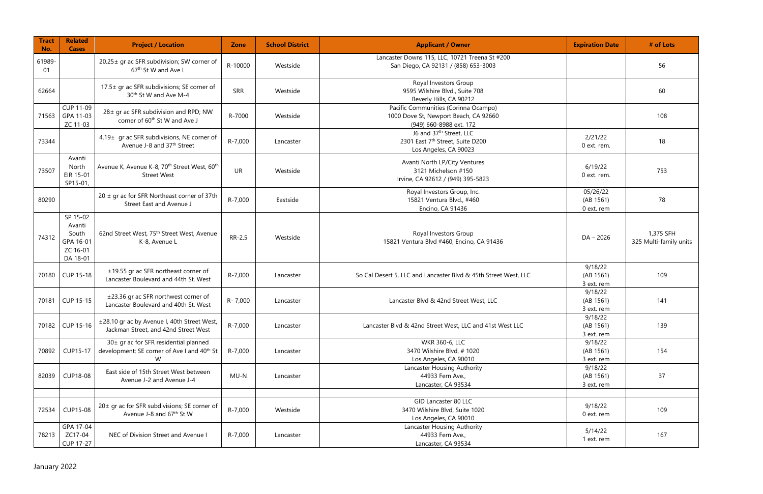| <b>Tract</b><br>No. | <b>Related</b><br><b>Cases</b>                                   | <b>Project / Location</b>                                                                             | <b>Zone</b> | <b>School District</b> | <b>Applicant / Owner</b>                                                                                 | <b>Expiration Date</b>              | # of Lots                           |
|---------------------|------------------------------------------------------------------|-------------------------------------------------------------------------------------------------------|-------------|------------------------|----------------------------------------------------------------------------------------------------------|-------------------------------------|-------------------------------------|
| 61989-<br>01        |                                                                  | 20.25± gr ac SFR subdivision; SW corner of<br>67 <sup>th</sup> St W and Ave L                         | R-10000     | Westside               | Lancaster Downs 115, LLC, 10721 Treena St #200<br>San Diego, CA 92131 / (858) 653-3003                   |                                     | 56                                  |
| 62664               |                                                                  | 17.5± gr ac SFR subdivisions; SE corner of<br>30 <sup>th</sup> St W and Ave M-4                       | SRR         | Westside               | Royal Investors Group<br>9595 Wilshire Blvd., Suite 708<br>Beverly Hills, CA 90212                       |                                     | 60                                  |
|                     | <b>CUP 11-09</b><br>71563 GPA 11-03<br>ZC 11-03                  | 28± gr ac SFR subdivision and RPD; NW<br>corner of 60 <sup>th</sup> St W and Ave J                    | R-7000      | Westside               | Pacific Communities (Corinna Ocampo)<br>1000 Dove St, Newport Beach, CA 92660<br>(949) 660-8988 ext. 172 |                                     | 108                                 |
| 73344               |                                                                  | 4.19± gr ac SFR subdivisions, NE corner of<br>Avenue J-8 and 37th Street                              | R-7,000     | Lancaster              | J6 and 37 <sup>th</sup> Street, LLC<br>2301 East 7th Street, Suite D200<br>Los Angeles, CA 90023         | 2/21/22<br>0 ext. rem.              | 18                                  |
| 73507               | Avanti<br>North<br>EIR 15-01<br>SP15-01,                         | Avenue K, Avenue K-8, 70 <sup>th</sup> Street West, 60 <sup>th</sup><br><b>Street West</b>            | UR          | Westside               | Avanti North LP/City Ventures<br>3121 Michelson #150<br>Irvine, CA 92612 / (949) 395-5823                | 6/19/22<br>0 ext. rem.              | 753                                 |
| 80290               |                                                                  | $20 \pm g$ r ac for SFR Northeast corner of 37th<br>Street East and Avenue J                          | R-7,000     | Eastside               | Royal Investors Group, Inc.<br>15821 Ventura Blvd., #460<br>Encino, CA 91436                             | 05/26/22<br>(AB 1561)<br>0 ext. rem | 78                                  |
| 74312               | SP 15-02<br>Avanti<br>South<br>GPA 16-01<br>ZC 16-01<br>DA 18-01 | 62nd Street West, 75 <sup>th</sup> Street West, Avenue<br>K-8, Avenue L                               | RR-2.5      | Westside               | Royal Investors Group<br>15821 Ventura Blvd #460, Encino, CA 91436                                       | $DA - 2026$                         | 1,375 SFH<br>325 Multi-family units |
|                     | 70180 CUP 15-18                                                  | ±19.55 gr ac SFR northeast corner of<br>Lancaster Boulevard and 44th St. West                         | R-7,000     | Lancaster              | So Cal Desert 5, LLC and Lancaster Blvd & 45th Street West, LLC                                          | 9/18/22<br>(AB 1561)<br>3 ext. rem  | 109                                 |
| 70181               | CUP 15-15                                                        | ±23.36 gr ac SFR northwest corner of<br>Lancaster Boulevard and 40th St. West                         | R-7,000     | Lancaster              | Lancaster Blvd & 42nd Street West, LLC                                                                   | 9/18/22<br>(AB 1561)<br>3 ext. rem  | 141                                 |
| 70182               | CUP 15-16                                                        | ±28.10 gr ac by Avenue I, 40th Street West,<br>Jackman Street, and 42nd Street West                   | R-7,000     | Lancaster              | Lancaster Blvd & 42nd Street West, LLC and 41st West LLC                                                 | 9/18/22<br>(AB 1561)<br>3 ext. rem  | 139                                 |
| 70892               | <b>CUP15-17</b>                                                  | 30± gr ac for SFR residential planned<br>development; SE corner of Ave I and 40 <sup>th</sup> St<br>W | R-7,000     | Lancaster              | WKR 360-6, LLC<br>3470 Wilshire Blvd, #1020<br>Los Angeles, CA 90010                                     | 9/18/22<br>(AB 1561)<br>3 ext. rem  | 154                                 |
| 82039               | <b>CUP18-08</b>                                                  | East side of 15th Street West between<br>Avenue J-2 and Avenue J-4                                    | MU-N        | Lancaster              | Lancaster Housing Authority<br>44933 Fern Ave.,<br>Lancaster, CA 93534                                   | 9/18/22<br>(AB 1561)<br>3 ext. rem  | 37                                  |
|                     |                                                                  |                                                                                                       |             |                        |                                                                                                          |                                     |                                     |
| 72534               | CUP15-08                                                         | 20± gr ac for SFR subdivisions; SE corner of<br>Avenue J-8 and 67 <sup>th</sup> St W                  | R-7,000     | Westside               | GID Lancaster 80 LLC<br>3470 Wilshire Blvd, Suite 1020<br>Los Angeles, CA 90010                          | 9/18/22<br>0 ext. rem               | 109                                 |
| 78213               | GPA 17-04<br>ZC17-04<br>CUP 17-27                                | NEC of Division Street and Avenue I                                                                   | R-7,000     | Lancaster              | Lancaster Housing Authority<br>44933 Fern Ave.,<br>Lancaster, CA 93534                                   | 5/14/22<br>1 ext. rem               | 167                                 |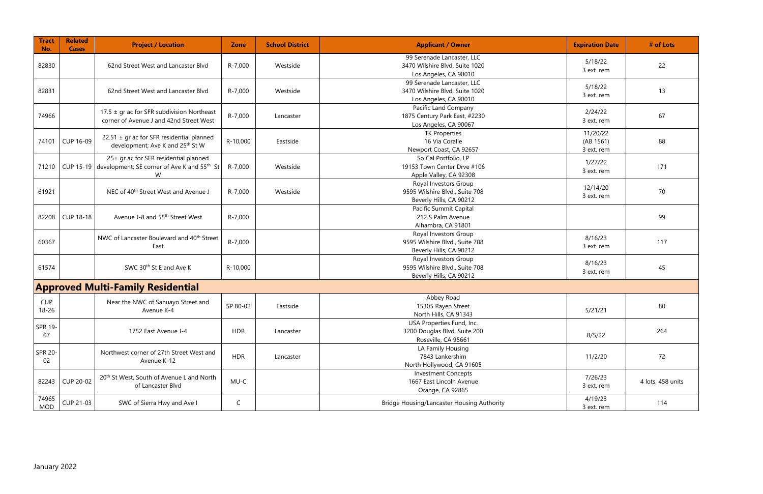| <b>Tract</b><br>No.     | <b>Related</b><br><b>Cases</b> | <b>Project / Location</b>                                                                                             | <b>Zone</b>  | <b>School District</b> | <b>Applicant / Owner</b>                                                              | <b>Expiration Date</b>              | # of Lots         |
|-------------------------|--------------------------------|-----------------------------------------------------------------------------------------------------------------------|--------------|------------------------|---------------------------------------------------------------------------------------|-------------------------------------|-------------------|
| 82830                   |                                | 62nd Street West and Lancaster Blvd                                                                                   | R-7,000      | Westside               | 99 Serenade Lancaster, LLC<br>3470 Wilshire Blvd. Suite 1020<br>Los Angeles, CA 90010 | 5/18/22<br>3 ext. rem               | 22                |
| 82831                   |                                | 62nd Street West and Lancaster Blvd                                                                                   | R-7,000      | Westside               | 99 Serenade Lancaster, LLC<br>3470 Wilshire Blvd. Suite 1020<br>Los Angeles, CA 90010 | 5/18/22<br>3 ext. rem               | 13                |
| 74966                   |                                | 17.5 $\pm$ gr ac for SFR subdivision Northeast<br>corner of Avenue J and 42nd Street West                             | R-7,000      | Lancaster              | Pacific Land Company<br>1875 Century Park East, #2230<br>Los Angeles, CA 90067        | 2/24/22<br>3 ext. rem               | 67                |
| 74101                   | CUP 16-09                      | $22.51 \pm$ gr ac for SFR residential planned<br>development; Ave K and 25th St W                                     | R-10,000     | Eastside               | <b>TK Properties</b><br>16 Via Coralle<br>Newport Coast, CA 92657                     | 11/20/22<br>(AB 1561)<br>3 ext. rem | 88                |
|                         |                                | 25± gr ac for SFR residential planned<br>71210 CUP 15-19 development; SE corner of Ave K and 55 <sup>th</sup> St<br>W | R-7,000      | Westside               | So Cal Portfolio, LP<br>19153 Town Center Drve #106<br>Apple Valley, CA 92308         | 1/27/22<br>3 ext. rem               | 171               |
| 61921                   |                                | NEC of 40 <sup>th</sup> Street West and Avenue J                                                                      | R-7,000      | Westside               | Royal Investors Group<br>9595 Wilshire Blvd., Suite 708<br>Beverly Hills, CA 90212    | 12/14/20<br>3 ext. rem              | 70                |
|                         | 82208 CUP 18-18                | Avenue J-8 and 55 <sup>th</sup> Street West                                                                           | R-7,000      |                        | Pacific Summit Capital<br>212 S Palm Avenue<br>Alhambra, CA 91801                     |                                     | 99                |
| 60367                   |                                | NWC of Lancaster Boulevard and 40 <sup>th</sup> Street<br>East                                                        | R-7,000      |                        | Royal Investors Group<br>9595 Wilshire Blvd., Suite 708<br>Beverly Hills, CA 90212    | 8/16/23<br>3 ext. rem               | 117               |
| 61574                   |                                | SWC 30 <sup>th</sup> St E and Ave K                                                                                   | R-10,000     |                        | Royal Investors Group<br>9595 Wilshire Blvd., Suite 708<br>Beverly Hills, CA 90212    | 8/16/23<br>3 ext. rem               | 45                |
|                         |                                | <b>Approved Multi-Family Residential</b>                                                                              |              |                        |                                                                                       |                                     |                   |
| <b>CUP</b><br>$18 - 26$ |                                | Near the NWC of Sahuayo Street and<br>Avenue K-4                                                                      | SP 80-02     | Eastside               | Abbey Road<br>15305 Rayen Street<br>North Hills, CA 91343                             | 5/21/21                             | 80                |
| SPR 19-<br>07           |                                | 1752 East Avenue J-4                                                                                                  | <b>HDR</b>   | Lancaster              | USA Properties Fund, Inc.<br>3200 Douglas Blvd, Suite 200<br>Roseville, CA 95661      | 8/5/22                              | 264               |
| <b>SPR 20-</b><br>02    |                                | Northwest corner of 27th Street West and<br>Avenue K-12                                                               | <b>HDR</b>   | Lancaster              | LA Family Housing<br>7843 Lankershim<br>North Hollywood, CA 91605                     | 11/2/20                             | 72                |
|                         | 82243 CUP 20-02                | 20 <sup>th</sup> St West, South of Avenue L and North<br>of Lancaster Blvd                                            | MU-C         |                        | <b>Investment Concepts</b><br>1667 East Lincoln Avenue<br>Orange, CA 92865            | 7/26/23<br>3 ext. rem               | 4 lots, 458 units |
| 74965<br><b>MOD</b>     | CUP 21-03                      | SWC of Sierra Hwy and Ave I                                                                                           | $\mathsf{C}$ |                        | Bridge Housing/Lancaster Housing Authority                                            | 4/19/23<br>3 ext. rem               | 114               |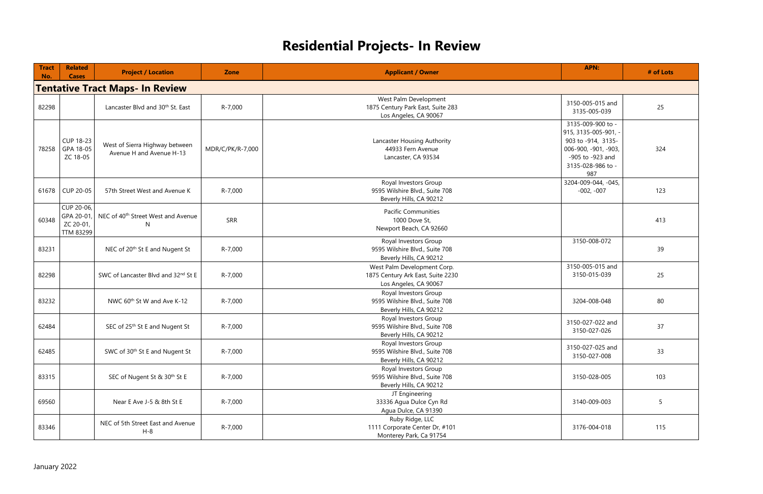## **Residential Projects- In Review**

| <b>Tract</b><br>No. | <b>Related</b><br><b>Cases</b>                     | <b>Project / Location</b>                                  | <b>Zone</b>      | <b>APN:</b><br><b>Applicant / Owner</b>                                                                                                                                                                          | # of Lots |
|---------------------|----------------------------------------------------|------------------------------------------------------------|------------------|------------------------------------------------------------------------------------------------------------------------------------------------------------------------------------------------------------------|-----------|
|                     |                                                    | <b>Tentative Tract Maps- In Review</b>                     |                  |                                                                                                                                                                                                                  |           |
| 82298               |                                                    | Lancaster Blvd and 30 <sup>th</sup> St. East               | R-7,000          | West Palm Development<br>3150-005-015 and<br>1875 Century Park East, Suite 283<br>3135-005-039<br>Los Angeles, CA 90067                                                                                          | 25        |
|                     | <b>CUP 18-23</b><br>78258 GPA 18-05<br>ZC 18-05    | West of Sierra Highway between<br>Avenue H and Avenue H-13 | MDR/C/PK/R-7,000 | 3135-009-900 to -<br>915, 3135-005-901,<br>Lancaster Housing Authority<br>903 to -914, 3135-<br>44933 Fern Avenue<br>006-900, -901, -903,<br>-905 to -923 and<br>Lancaster, CA 93534<br>3135-028-986 to -<br>987 | 324       |
|                     | 61678   CUP 20-05                                  | 57th Street West and Avenue K                              | R-7,000          | 3204-009-044, -045,<br>Royal Investors Group<br>9595 Wilshire Blvd., Suite 708<br>$-002, -007$<br>Beverly Hills, CA 90212                                                                                        | 123       |
| 60348               | CUP 20-06,<br>GPA 20-01,<br>ZC 20-01,<br>TTM 83299 | NEC of 40 <sup>th</sup> Street West and Avenue<br>N        | <b>SRR</b>       | <b>Pacific Communities</b><br>1000 Dove St,<br>Newport Beach, CA 92660                                                                                                                                           | 413       |
| 83231               |                                                    | NEC of 20 <sup>th</sup> St E and Nugent St                 | R-7,000          | Royal Investors Group<br>3150-008-072<br>9595 Wilshire Blvd., Suite 708<br>Beverly Hills, CA 90212                                                                                                               | 39        |
| 82298               |                                                    | SWC of Lancaster Blvd and 32nd St E                        | R-7,000          | 3150-005-015 and<br>West Palm Development Corp.<br>3150-015-039<br>1875 Century Ark East, Suite 2230<br>Los Angeles, CA 90067                                                                                    | 25        |
| 83232               |                                                    | NWC 60 <sup>th</sup> St W and Ave K-12                     | R-7,000          | Royal Investors Group<br>9595 Wilshire Blvd., Suite 708<br>3204-008-048<br>Beverly Hills, CA 90212                                                                                                               | 80        |
| 62484               |                                                    | SEC of 25 <sup>th</sup> St E and Nugent St                 | R-7,000          | Royal Investors Group<br>3150-027-022 and<br>9595 Wilshire Blvd., Suite 708<br>3150-027-026<br>Beverly Hills, CA 90212                                                                                           | 37        |
| 62485               |                                                    | SWC of 30 <sup>th</sup> St E and Nugent St                 | R-7,000          | Royal Investors Group<br>3150-027-025 and<br>9595 Wilshire Blvd., Suite 708<br>3150-027-008<br>Beverly Hills, CA 90212                                                                                           | 33        |
| 83315               |                                                    | SEC of Nugent St & 30th St E                               | R-7,000          | Royal Investors Group<br>9595 Wilshire Blvd., Suite 708<br>3150-028-005<br>Beverly Hills, CA 90212                                                                                                               | 103       |
| 69560               |                                                    | Near E Ave J-5 & 8th St E                                  | R-7,000          | JT Engineering<br>33336 Agua Dulce Cyn Rd<br>3140-009-003<br>Agua Dulce, CA 91390                                                                                                                                | 5         |
| 83346               |                                                    | NEC of 5th Street East and Avenue<br>$H-8$                 | R-7,000          | Ruby Ridge, LLC<br>1111 Corporate Center Dr, #101<br>3176-004-018<br>Monterey Park, Ca 91754                                                                                                                     | 115       |